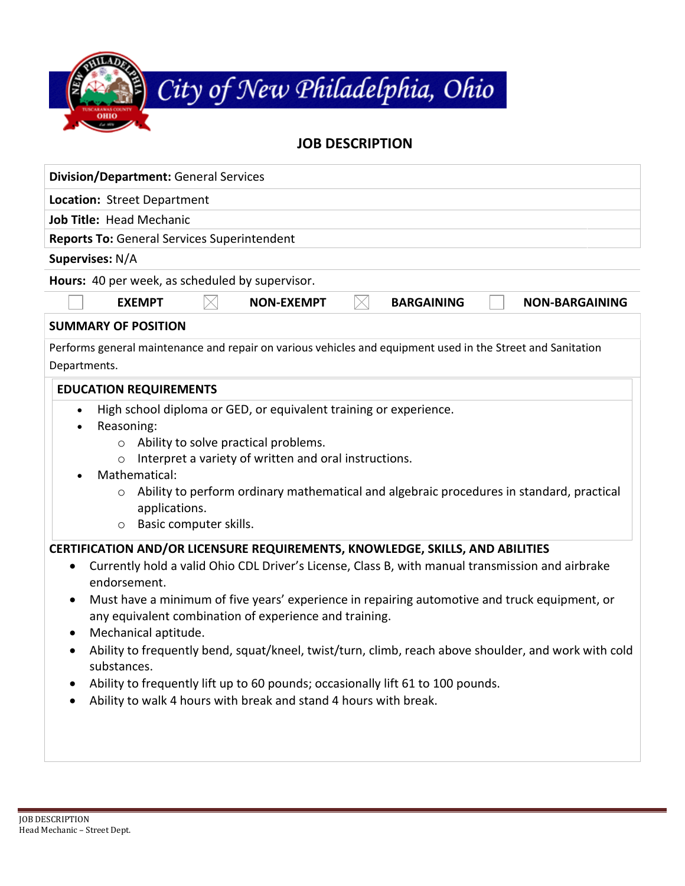

## **JOB DESCRIPTION Division/Department:** General Services

| Proision, Department. Ocheral Scrvices                                                                                                                                                                                                                                                                                                                                                                                                                                                                                                                                                                                                                                                                                              |
|-------------------------------------------------------------------------------------------------------------------------------------------------------------------------------------------------------------------------------------------------------------------------------------------------------------------------------------------------------------------------------------------------------------------------------------------------------------------------------------------------------------------------------------------------------------------------------------------------------------------------------------------------------------------------------------------------------------------------------------|
| Location: Street Department                                                                                                                                                                                                                                                                                                                                                                                                                                                                                                                                                                                                                                                                                                         |
| Job Title: Head Mechanic                                                                                                                                                                                                                                                                                                                                                                                                                                                                                                                                                                                                                                                                                                            |
| <b>Reports To: General Services Superintendent</b>                                                                                                                                                                                                                                                                                                                                                                                                                                                                                                                                                                                                                                                                                  |
| Supervises: N/A                                                                                                                                                                                                                                                                                                                                                                                                                                                                                                                                                                                                                                                                                                                     |
| Hours: 40 per week, as scheduled by supervisor.                                                                                                                                                                                                                                                                                                                                                                                                                                                                                                                                                                                                                                                                                     |
| <b>EXEMPT</b><br><b>NON-EXEMPT</b><br><b>BARGAINING</b><br><b>NON-BARGAINING</b>                                                                                                                                                                                                                                                                                                                                                                                                                                                                                                                                                                                                                                                    |
| <b>SUMMARY OF POSITION</b>                                                                                                                                                                                                                                                                                                                                                                                                                                                                                                                                                                                                                                                                                                          |
| Performs general maintenance and repair on various vehicles and equipment used in the Street and Sanitation<br>Departments.                                                                                                                                                                                                                                                                                                                                                                                                                                                                                                                                                                                                         |
| <b>EDUCATION REQUIREMENTS</b>                                                                                                                                                                                                                                                                                                                                                                                                                                                                                                                                                                                                                                                                                                       |
| High school diploma or GED, or equivalent training or experience.<br>$\bullet$<br>Reasoning:<br>o Ability to solve practical problems.<br>Interpret a variety of written and oral instructions.<br>$\circ$<br>Mathematical:<br>Ability to perform ordinary mathematical and algebraic procedures in standard, practical<br>applications.<br>Basic computer skills.<br>$\circ$                                                                                                                                                                                                                                                                                                                                                       |
| CERTIFICATION AND/OR LICENSURE REQUIREMENTS, KNOWLEDGE, SKILLS, AND ABILITIES<br>Currently hold a valid Ohio CDL Driver's License, Class B, with manual transmission and airbrake<br>$\bullet$<br>endorsement.<br>Must have a minimum of five years' experience in repairing automotive and truck equipment, or<br>$\bullet$<br>any equivalent combination of experience and training.<br>Mechanical aptitude.<br>$\bullet$<br>Ability to frequently bend, squat/kneel, twist/turn, climb, reach above shoulder, and work with cold<br>$\bullet$<br>substances.<br>Ability to frequently lift up to 60 pounds; occasionally lift 61 to 100 pounds.<br>Ability to walk 4 hours with break and stand 4 hours with break.<br>$\bullet$ |